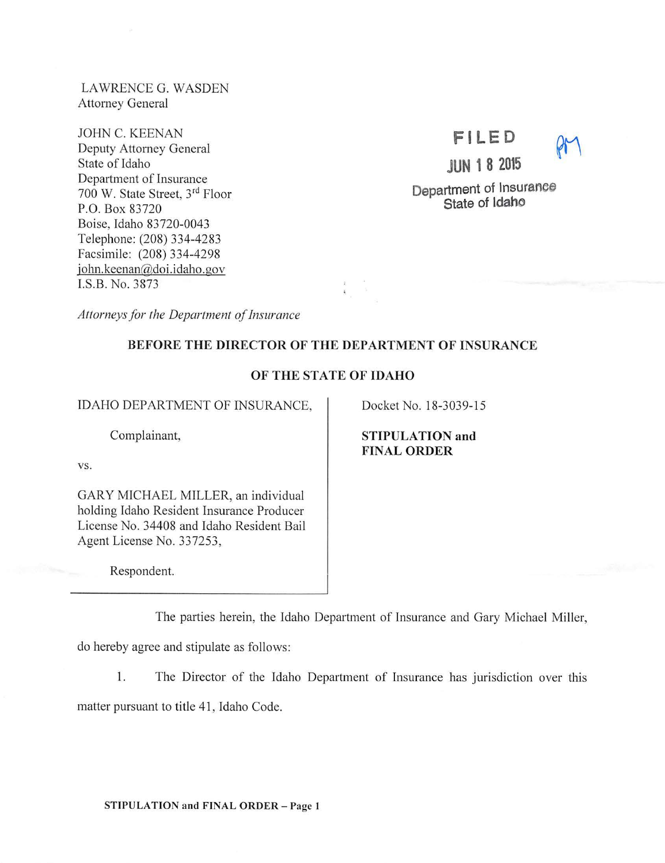LAWRENCE G. WASDEN Attorney General

JOHN C. KEENAN Deputy Attorney General State of Idaho Department of Insurance 700 W. State Street, 3rd Floor P.O. Box 83720 Boise, Idaho 83720-0043 Telephone: (208) 334-4283 Facsimile: (208) 334-4298 john.keenan@doi.idaho.gov I.S.B. No. 3873

**Fl LED JUN 1 8 2015** 

Department of lnsuranee State of Idaho

*Attorneys for the Department of Insurance* 

# BEFORE THE DIRECTOR OF THE DEPARTMENT OF INSURANCE

## OF THE STATE OF IDAHO

IDAHO DEPARTMENT OF INSURANCE,

Complainant,

vs.

GARY MICHAEL MILLER, an individual holding Idaho Resident Insurance Producer License No. 34408 and Idaho Resident Bail Agent License No. 337253,

Respondent.

The parties herein, the Idaho Department of Insurance and Gary Michael Miller,

do hereby agree and stipulate as follows:

1. The Director of the Idaho Department of Insurance has jurisdiction over this

matter pursuant to title 41 , Idaho Code.

STIPULATION and FINAL ORDER - Page 1

# STIPULATION and FINAL ORDER

Docket No. 18-3039-15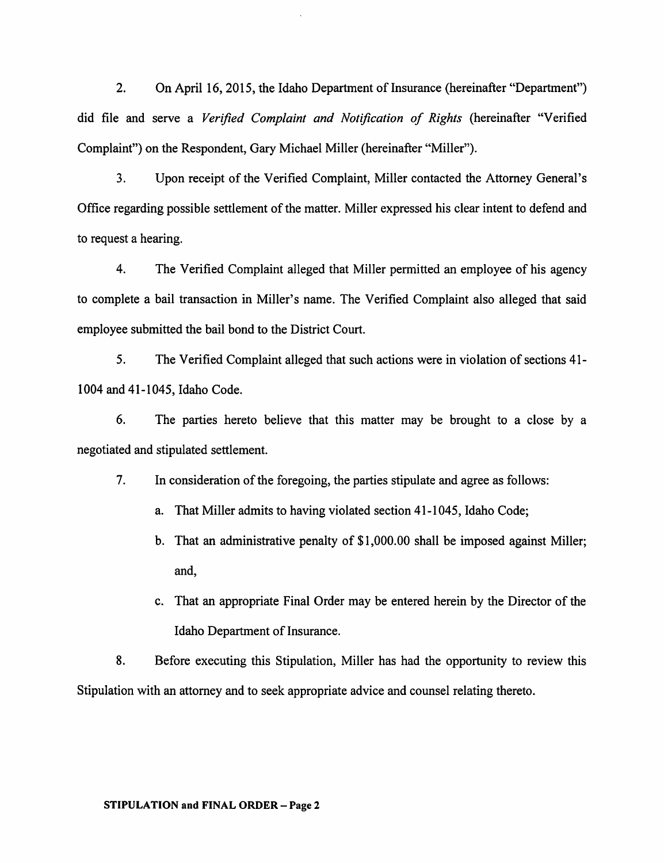2. On April 16, 2015, the Idaho Department of Insurance (hereinafter "Department") did file and serve a *Verified Complaint and Notification of Rights* (hereinafter "Verified Complaint") on the Respondent, Gary Michael Miller (hereinafter "Miller").

3. Upon receipt of the Verified Complaint, Miller contacted the Attorney General's Office regarding possible settlement of the matter. Miller expressed his clear intent to defend and to request a hearing.

4. The Verified Complaint alleged that Miller permitted an employee of his agency to complete a bail transaction in Miller's name. The Verified Complaint also alleged that said employee submitted the bail bond to the District Court.

5. The Verified Complaint alleged that such actions were in violation of sections 41- 1004 and 41-1045, Idaho Code.

6. The parties hereto believe that this matter may be brought to a close by a negotiated and stipulated settlement.

7. In consideration of the foregoing, the parties stipulate and agree as follows:

- a. That Miller admits to having violated section 41-1045, Idaho Code;
- b. That an administrative penalty of \$1,000.00 shall be imposed against Miller; and,
- c. That an appropriate Final Order may be entered herein by the Director of the Idaho Department of Insurance.

8. Before executing this Stipulation, Miller has had the opportunity to review this Stipulation with an attorney and to seek appropriate advice and counsel relating thereto.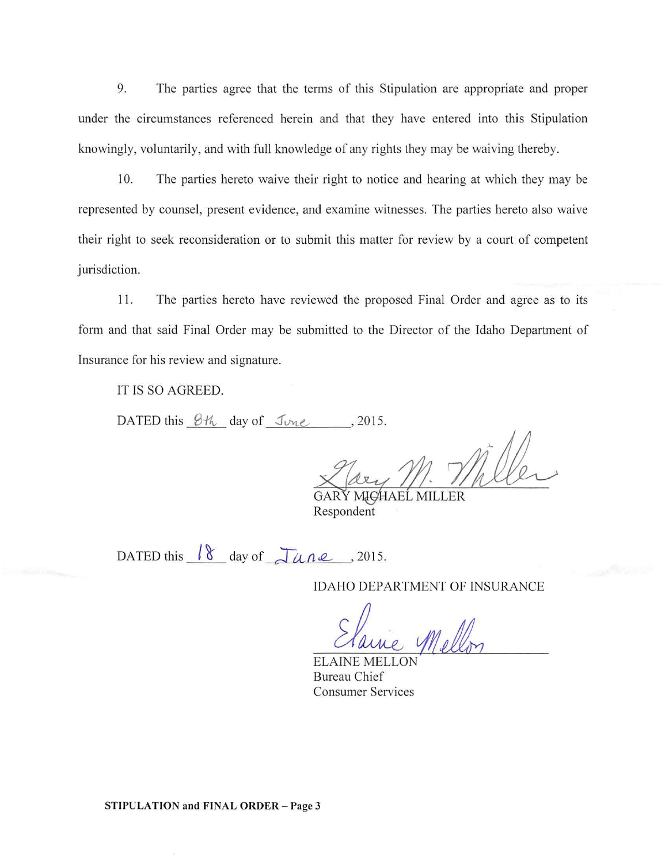9. The parties agree that the terms of this Stipulation are appropriate and proper under the circumstances referenced herein and that they have entered into this Stipulation knowingly, voluntarily, and with full knowledge of any rights they may be waiving thereby.

10. The parties hereto waive their right to notice and hearing at which they may be represented by counsel, present evidence, and examine witnesses. The parties hereto also waive their right to seek reconsideration or to submit this matter for review by a court of competent jurisdiction.

11. The parties hereto have reviewed the proposed Final Order and agree as to its form and that said Final Order may be submitted to the Director of the Idaho Department of Insurance for his review and signature.

IT IS SO AGREED.

DATED this  $8\%$  day of  $\mathcal{I}_{\text{true}}$ , 2015.

'-

Respondent GARY MI<del>C</del>HAEL MILLER

DATED this  $\sqrt{8}$  day of  $\sqrt{\mu}$   $\mu$   $\ell$ , 2015.

IDAHO DEPARTMENT OF INSURANCE

ELAINE MELLON Bureau Chief Consumer Services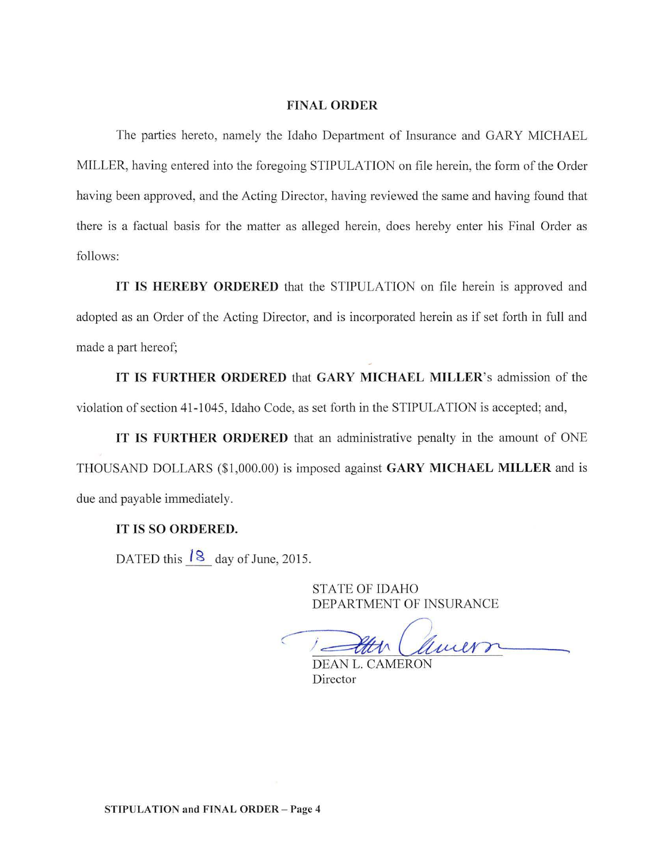#### FINAL ORDER

The parties hereto, namely the Idaho Department of Insurance and GARY MICHAEL MILLER, having entered into the foregoing STIPULATION on file herein, the form of the Order having been approved, and the Acting Director, having reviewed the same and having found that there is a factual basis for the matter as alleged herein, does hereby enter his Final Order as follows:

IT IS HEREBY ORDERED that the STIPULATION on file herein is approved and adopted as an Order of the Acting Director, and is incorporated herein as if set forth in full and made a part hereof;

IT IS FURTHER ORDERED that GARY MICHAEL MILLER's admission of the violation of section 41-1045, Idaho Code, as set forth in the STIPULATION is accepted; and,

IT IS FURTHER ORDERED that an administrative penalty in the amount of ONE THOUSAND DOLLARS (\$1,000.00) is imposed against GARY MICHAEL MILLER and is due and payable immediately.

# IT IS SO ORDERED.

DATED this  $\sqrt{8}$  day of June, 2015.

STATE OF IDAHO

DEPARTMENT OF INSURANCE

Director